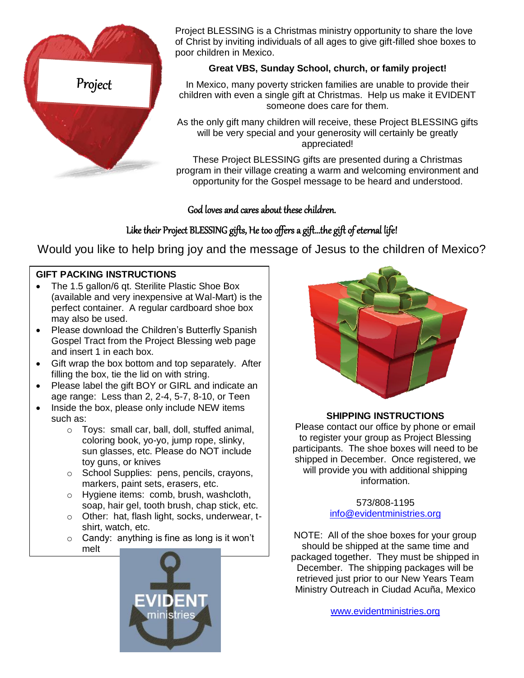

Project BLESSING is a Christmas ministry opportunity to share the love of Christ by inviting individuals of all ages to give gift-filled shoe boxes to poor children in Mexico.

#### **Great VBS, Sunday School, church, or family project!**

In Mexico, many poverty stricken families are unable to provide their children with even a single gift at Christmas. Help us make it EVIDENT someone does care for them.

As the only gift many children will receive, these Project BLESSING gifts will be very special and your generosity will certainly be greatly appreciated!

These Project BLESSING gifts are presented during a Christmas program in their village creating a warm and welcoming environment and opportunity for the Gospel message to be heard and understood.

#### God loves and cares about these children.

### Like their Project BLESSING gifts, He too offers a gift…the gift of eternal life!

Would you like to help bring joy and the message of Jesus to the children of Mexico?

#### **GIFT PACKING INSTRUCTIONS**

- The 1.5 gallon/6 gt. Sterilite Plastic Shoe Box (available and very inexpensive at Wal-Mart) is the perfect container. A regular cardboard shoe box may also be used.
- Please download the Children's Butterfly Spanish Gospel Tract from the Project Blessing web page and insert 1 in each box.
- Gift wrap the box bottom and top separately. After filling the box, tie the lid on with string.
- Please label the gift BOY or GIRL and indicate an age range: Less than 2, 2-4, 5-7, 8-10, or Teen
- Inside the box, please only include NEW items such as:
	- o Toys: small car, ball, doll, stuffed animal, coloring book, yo-yo, jump rope, slinky, sun glasses, etc. Please do NOT include toy guns, or knives
	- o School Supplies: pens, pencils, crayons, markers, paint sets, erasers, etc.
	- o Hygiene items: comb, brush, washcloth, soap, hair gel, tooth brush, chap stick, etc.
	- o Other: hat, flash light, socks, underwear, tshirt, watch, etc.

o Candy: anything is fine as long is it won't melt





#### **SHIPPING INSTRUCTIONS**

Please contact our office by phone or email to register your group as Project Blessing participants. The shoe boxes will need to be shipped in December. Once registered, we will provide you with additional shipping information.

> 573/808-1195 [info@evidentministries.org](mailto:info@evidentministries.org)

NOTE: All of the shoe boxes for your group should be shipped at the same time and packaged together. They must be shipped in December. The shipping packages will be retrieved just prior to our New Years Team Ministry Outreach in Ciudad Acuña, Mexico

[www.evidentministries.org](http://www.evidentministries.org/)